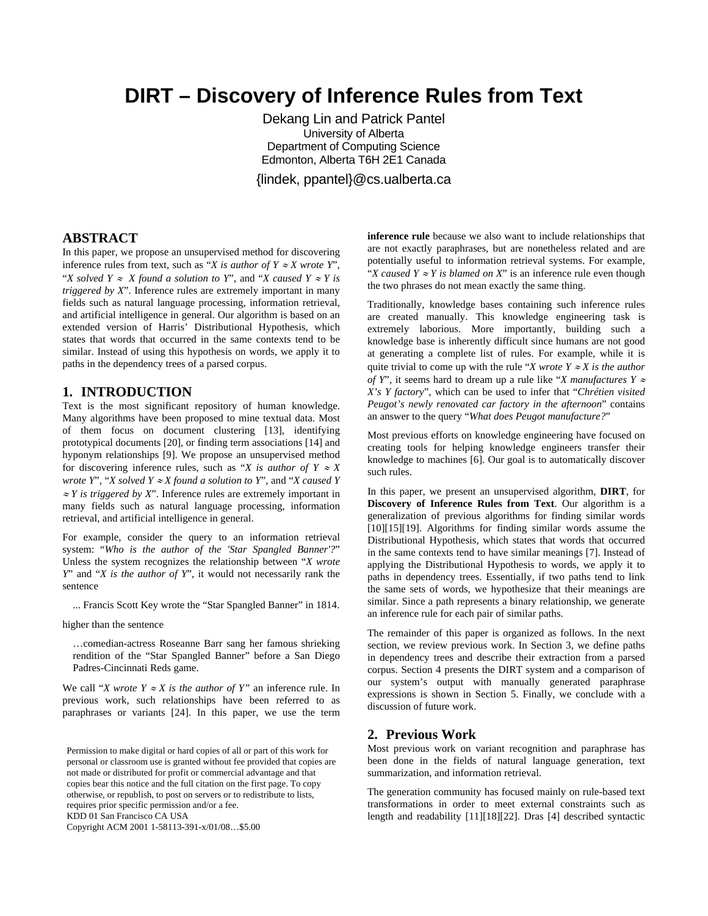# **DIRT – Discovery of Inference Rules from Text**

Dekang Lin and Patrick Pantel University of Alberta Department of Computing Science Edmonton, Alberta T6H 2E1 Canada

{lindek, ppantel}@cs.ualberta.ca

# **ABSTRACT**

In this paper, we propose an unsupervised method for discovering inference rules from text, such as "*X* is *author of Y*  $\approx$  *X* wrote *Y*", "*X* solved  $Y \approx X$  found a solution to Y", and "*X* caused  $Y \approx Y$  is *triggered by X*". Inference rules are extremely important in many fields such as natural language processing, information retrieval, and artificial intelligence in general. Our algorithm is based on an extended version of Harris' Distributional Hypothesis, which states that words that occurred in the same contexts tend to be similar. Instead of using this hypothesis on words, we apply it to paths in the dependency trees of a parsed corpus.

## **1. INTRODUCTION**

Text is the most significant repository of human knowledge. Many algorithms have been proposed to mine textual data. Most of them focus on document clustering [13], identifying prototypical documents [20], or finding term associations [14] and hyponym relationships [9]. We propose an unsupervised method for discovering inference rules, such as "*X* is *author of Y*  $\approx$  *X wrote Y*", "*X solved Y*  $\approx$  *X found a solution to Y*", and "*X caused Y* <sup>≈</sup> *Y is triggered by X*". Inference rules are extremely important in many fields such as natural language processing, information retrieval, and artificial intelligence in general.

For example, consider the query to an information retrieval system: "*Who is the author of the 'Star Spangled Banner'?*" Unless the system recognizes the relationship between "*X wrote Y*" and "*X is the author of Y*", it would not necessarily rank the sentence

... Francis Scott Key wrote the "Star Spangled Banner" in 1814.

higher than the sentence

…comedian-actress Roseanne Barr sang her famous shrieking rendition of the "Star Spangled Banner" before a San Diego Padres-Cincinnati Reds game.

We call "*X wrote Y*  $\approx$  *X is the author of Y*" an inference rule. In previous work, such relationships have been referred to as paraphrases or variants [24]. In this paper, we use the term

Permission to make digital or hard copies of all or part of this work for personal or classroom use is granted without fee provided that copies are not made or distributed for profit or commercial advantage and that copies bear this notice and the full citation on the first page. To copy otherwise, or republish, to post on servers or to redistribute to lists, requires prior specific permission and/or a fee. KDD 01 San Francisco CA USA Copyright ACM 2001 1-58113-391-x/01/08…\$5.00

**inference rule** because we also want to include relationships that are not exactly paraphrases, but are nonetheless related and are potentially useful to information retrieval systems. For example, "*X* caused *Y*  $\approx$  *Y* is blamed on *X*" is an inference rule even though the two phrases do not mean exactly the same thing.

Traditionally, knowledge bases containing such inference rules are created manually. This knowledge engineering task is extremely laborious. More importantly, building such a knowledge base is inherently difficult since humans are not good at generating a complete list of rules. For example, while it is quite trivial to come up with the rule "*X wrote Y*  $\approx$  *X is the author of Y*", it seems hard to dream up a rule like "*X manufactures Y* ≈ *X's Y factory*", which can be used to infer that "*Chrétien visited Peugot's newly renovated car factory in the afternoon*" contains an answer to the query "*What does Peugot manufacture?*"

Most previous efforts on knowledge engineering have focused on creating tools for helping knowledge engineers transfer their knowledge to machines [6]. Our goal is to automatically discover such rules.

In this paper, we present an unsupervised algorithm, **DIRT**, for **Discovery of Inference Rules from Text**. Our algorithm is a generalization of previous algorithms for finding similar words [10][15][19]. Algorithms for finding similar words assume the Distributional Hypothesis, which states that words that occurred in the same contexts tend to have similar meanings [7]. Instead of applying the Distributional Hypothesis to words, we apply it to paths in dependency trees. Essentially, if two paths tend to link the same sets of words, we hypothesize that their meanings are similar. Since a path represents a binary relationship, we generate an inference rule for each pair of similar paths.

The remainder of this paper is organized as follows. In the next section, we review previous work. In Section 3, we define paths in dependency trees and describe their extraction from a parsed corpus. Section 4 presents the DIRT system and a comparison of our system's output with manually generated paraphrase expressions is shown in Section 5. Finally, we conclude with a discussion of future work.

## **2. Previous Work**

Most previous work on variant recognition and paraphrase has been done in the fields of natural language generation, text summarization, and information retrieval.

The generation community has focused mainly on rule-based text transformations in order to meet external constraints such as length and readability [11][18][22]. Dras [4] described syntactic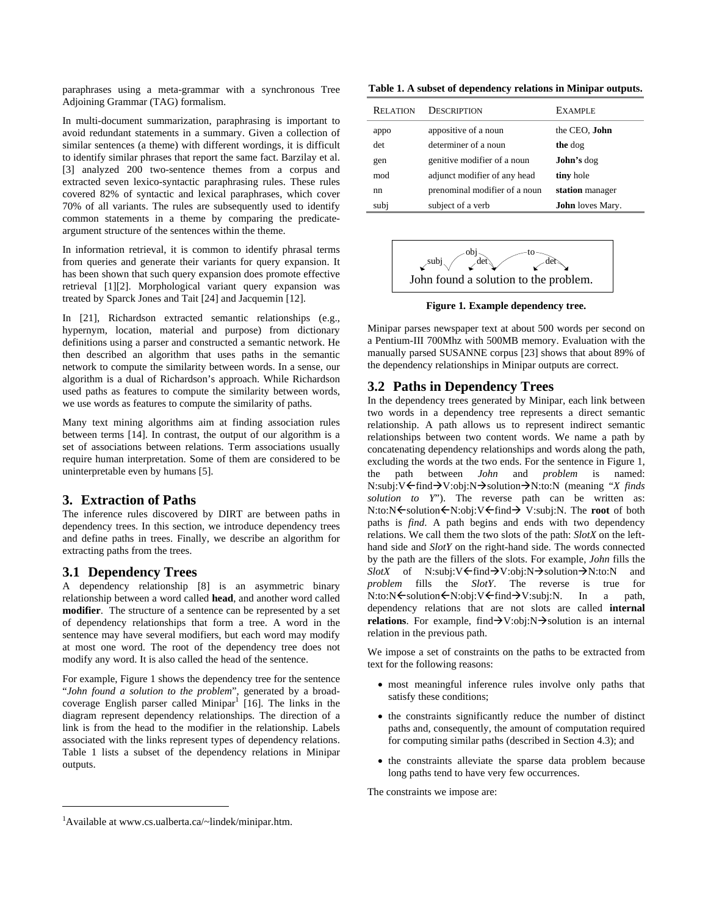paraphrases using a meta-grammar with a synchronous Tree Adjoining Grammar (TAG) formalism.

In multi-document summarization, paraphrasing is important to avoid redundant statements in a summary. Given a collection of similar sentences (a theme) with different wordings, it is difficult to identify similar phrases that report the same fact. Barzilay et al. [3] analyzed 200 two-sentence themes from a corpus and extracted seven lexico-syntactic paraphrasing rules. These rules covered 82% of syntactic and lexical paraphrases, which cover 70% of all variants. The rules are subsequently used to identify common statements in a theme by comparing the predicateargument structure of the sentences within the theme.

In information retrieval, it is common to identify phrasal terms from queries and generate their variants for query expansion. It has been shown that such query expansion does promote effective retrieval [1][2]. Morphological variant query expansion was treated by Sparck Jones and Tait [24] and Jacquemin [12].

In [21], Richardson extracted semantic relationships (e.g., hypernym, location, material and purpose) from dictionary definitions using a parser and constructed a semantic network. He then described an algorithm that uses paths in the semantic network to compute the similarity between words. In a sense, our algorithm is a dual of Richardson's approach. While Richardson used paths as features to compute the similarity between words, we use words as features to compute the similarity of paths.

Many text mining algorithms aim at finding association rules between terms [14]. In contrast, the output of our algorithm is a set of associations between relations. Term associations usually require human interpretation. Some of them are considered to be uninterpretable even by humans [5].

## **3. Extraction of Paths**

The inference rules discovered by DIRT are between paths in dependency trees. In this section, we introduce dependency trees and define paths in trees. Finally, we describe an algorithm for extracting paths from the trees.

# **3.1 Dependency Trees**

 $\overline{a}$ 

A dependency relationship [8] is an asymmetric binary relationship between a word called **head**, and another word called **modifier**. The structure of a sentence can be represented by a set of dependency relationships that form a tree. A word in the sentence may have several modifiers, but each word may modify at most one word. The root of the dependency tree does not modify any word. It is also called the head of the sentence.

For example, Figure 1 shows the dependency tree for the sentence "*John found a solution to the problem*", generated by a broadcoverage English parser called Minipar<sup>1</sup> [16]. The links in the diagram represent dependency relationships. The direction of a link is from the head to the modifier in the relationship. Labels associated with the links represent types of dependency relations. Table 1 lists a subset of the dependency relations in Minipar outputs.

**Table 1. A subset of dependency relations in Minipar outputs.** 

| <b>RELATION</b> | <b>DESCRIPTION</b>            | <b>EXAMPLE</b>          |
|-----------------|-------------------------------|-------------------------|
| appo            | appositive of a noun          | the CEO, John           |
| det             | determiner of a noun          | the dog                 |
| gen             | genitive modifier of a noun   | John's dog              |
| mod             | adjunct modifier of any head  | tiny hole               |
| nn              | prenominal modifier of a noun | station manager         |
| subi            | subject of a verb             | <b>John</b> loves Mary. |



**Figure 1***.* **Example dependency tree.** 

Minipar parses newspaper text at about 500 words per second on a Pentium-III 700Mhz with 500MB memory. Evaluation with the manually parsed SUSANNE corpus [23] shows that about 89% of the dependency relationships in Minipar outputs are correct.

# **3.2 Paths in Dependency Trees**

In the dependency trees generated by Minipar, each link between two words in a dependency tree represents a direct semantic relationship. A path allows us to represent indirect semantic relationships between two content words. We name a path by concatenating dependency relationships and words along the path, excluding the words at the two ends. For the sentence in Figure 1, the path between *John* and *problem* is named: N:subj:V ← find → V:obj:N → solution → N:to:N (meaning "*X finds solution to Y*"). The reverse path can be written as: N:to:N ← solution ← N:obj:V ← find → V:subj:N. The **root** of both paths is *find*. A path begins and ends with two dependency relations. We call them the two slots of the path: *SlotX* on the lefthand side and *SlotY* on the right-hand side. The words connected by the path are the fillers of the slots. For example, *John* fills the  $SlotX$  of N:subj:V  $\leftarrow$  find  $\rightarrow$  V:obj:N $\rightarrow$  solution  $\rightarrow$  N:to:N and *problem* fills the *SlotY*. The reverse is true for  $N:to:N \leftarrow$  Solution  $\leftarrow$  N:obj:V $\leftarrow$  find  $\rightarrow$  V:subj:N. In a path, dependency relations that are not slots are called **internal relations**. For example, find  $\rightarrow$  V:obj:N $\rightarrow$ solution is an internal relation in the previous path.

We impose a set of constraints on the paths to be extracted from text for the following reasons:

- most meaningful inference rules involve only paths that satisfy these conditions;
- the constraints significantly reduce the number of distinct paths and, consequently, the amount of computation required for computing similar paths (described in Section 4.3); and
- the constraints alleviate the sparse data problem because long paths tend to have very few occurrences.

The constraints we impose are:

<sup>&</sup>lt;sup>1</sup>Available at www.cs.ualberta.ca/~lindek/minipar.htm.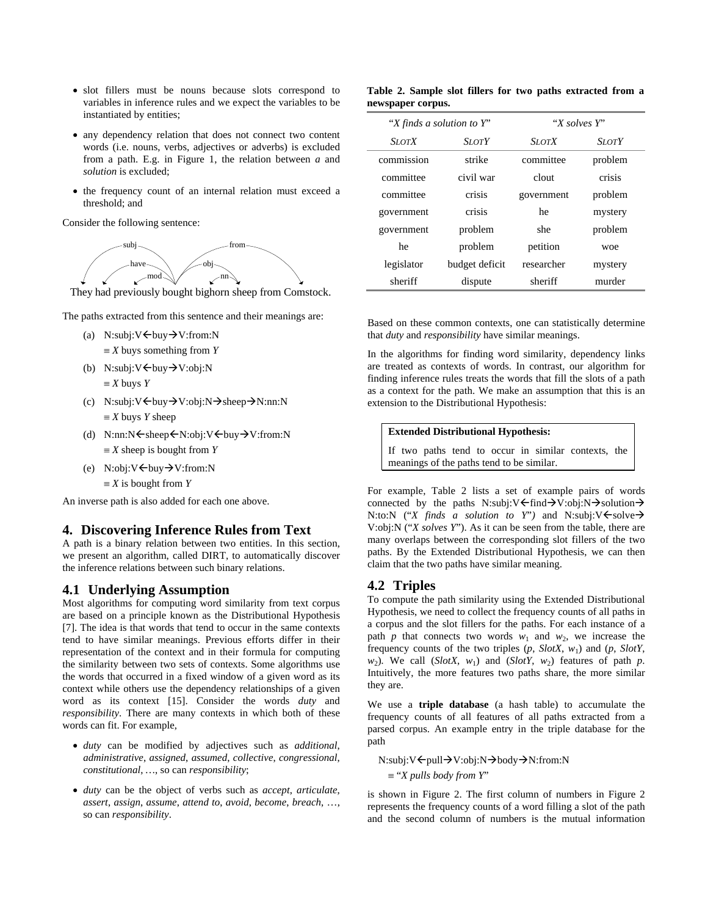- slot fillers must be nouns because slots correspond to variables in inference rules and we expect the variables to be instantiated by entities;
- any dependency relation that does not connect two content words (i.e. nouns, verbs, adjectives or adverbs) is excluded from a path. E.g. in Figure 1, the relation between *a* and *solution* is excluded;
- the frequency count of an internal relation must exceed a threshold; and

Consider the following sentence:



They had previously bought bighorn sheep from Comstock.

The paths extracted from this sentence and their meanings are:

- (a) N:subj: $V \leftarrow buy \rightarrow V:from:N$ ≡ *X* buys something from *Y*
- (b) N:subj: $V \leftarrow buy \rightarrow V:obj:N$ ≡ *X* buys *Y*
- (c) N:subj:V  $\leftarrow$ buy $\rightarrow$ V:obj:N $\rightarrow$ sheep $\rightarrow$ N:nn:N ≡ *X* buys *Y* sheep
- (d) N:nn:N  $\leftarrow$  sheep  $\leftarrow$  N:obj:V  $\leftarrow$  buy  $\rightarrow$  V:from:N  $\equiv$  *X* sheep is bought from *Y*
- (e) N:obj: $V \leftarrow buy \rightarrow V: from:N$  $\equiv$  *X* is bought from *Y*

An inverse path is also added for each one above.

#### **4. Discovering Inference Rules from Text**

A path is a binary relation between two entities. In this section, we present an algorithm, called DIRT, to automatically discover the inference relations between such binary relations.

#### **4.1 Underlying Assumption**

Most algorithms for computing word similarity from text corpus are based on a principle known as the Distributional Hypothesis [7]. The idea is that words that tend to occur in the same contexts tend to have similar meanings. Previous efforts differ in their representation of the context and in their formula for computing the similarity between two sets of contexts. Some algorithms use the words that occurred in a fixed window of a given word as its context while others use the dependency relationships of a given word as its context [15]. Consider the words *duty* and *responsibility*. There are many contexts in which both of these words can fit. For example,

- *duty* can be modified by adjectives such as *additional*, *administrative*, *assigned*, *assumed*, *collective*, *congressional*, *constitutional*, *…*, so can *responsibility*;
- *duty* can be the object of verbs such as *accept*, *articulate*, *assert*, *assign*, *assume*, *attend to*, *avoid*, *become*, *breach*, …, so can *responsibility*.

**Table 2. Sample slot fillers for two paths extracted from a newspaper corpus.**

| "X finds a solution to Y" |                | "X solves $Y'$ |              |  |
|---------------------------|----------------|----------------|--------------|--|
| SLOTX                     | <b>SLOTY</b>   | <b>SLOTX</b>   | <b>SLOTY</b> |  |
| commission                | strike         | committee      | problem      |  |
| committee                 | civil war      | clout          | crisis       |  |
| committee                 | crisis         | government     | problem      |  |
| government                | crisis         | he             | mystery      |  |
| government                | problem        | she            | problem      |  |
| he                        | problem        | petition       | woe          |  |
| legislator                | budget deficit | researcher     | mystery      |  |
| sheriff                   | dispute        | sheriff        | murder       |  |

Based on these common contexts, one can statistically determine that *duty* and *responsibility* have similar meanings.

In the algorithms for finding word similarity, dependency links are treated as contexts of words. In contrast, our algorithm for finding inference rules treats the words that fill the slots of a path as a context for the path. We make an assumption that this is an extension to the Distributional Hypothesis:

#### **Extended Distributional Hypothesis:**

If two paths tend to occur in similar contexts, the meanings of the paths tend to be similar.

For example, Table 2 lists a set of example pairs of words connected by the paths N:subj:V $\not\in$ find $\neg$ V:obj:N $\neg$ solution $\neg$ N:to:N ("X finds a solution to Y") and N:subj:V $\leftarrow$ solve $\rightarrow$ V:obj:N ("*X solves Y*"). As it can be seen from the table, there are many overlaps between the corresponding slot fillers of the two paths. By the Extended Distributional Hypothesis, we can then claim that the two paths have similar meaning.

# **4.2 Triples**

To compute the path similarity using the Extended Distributional Hypothesis, we need to collect the frequency counts of all paths in a corpus and the slot fillers for the paths. For each instance of a path *p* that connects two words  $w_1$  and  $w_2$ , we increase the frequency counts of the two triples  $(p, \textit{SlotX}, w_1)$  and  $(p, \textit{SlotY}, w_1)$  $w_2$ *)*. We call (*SlotX*,  $w_1$ *)* and (*SlotY*,  $w_2$ *)* features of path  $p$ . Intuitively, the more features two paths share, the more similar they are.

We use a **triple database** (a hash table) to accumulate the frequency counts of all features of all paths extracted from a parsed corpus. An example entry in the triple database for the path

N:subj:V ← pull → V:obj:N → body → N:from:N

≡ "*X pulls body from Y*"

is shown in Figure 2. The first column of numbers in Figure 2 represents the frequency counts of a word filling a slot of the path and the second column of numbers is the mutual information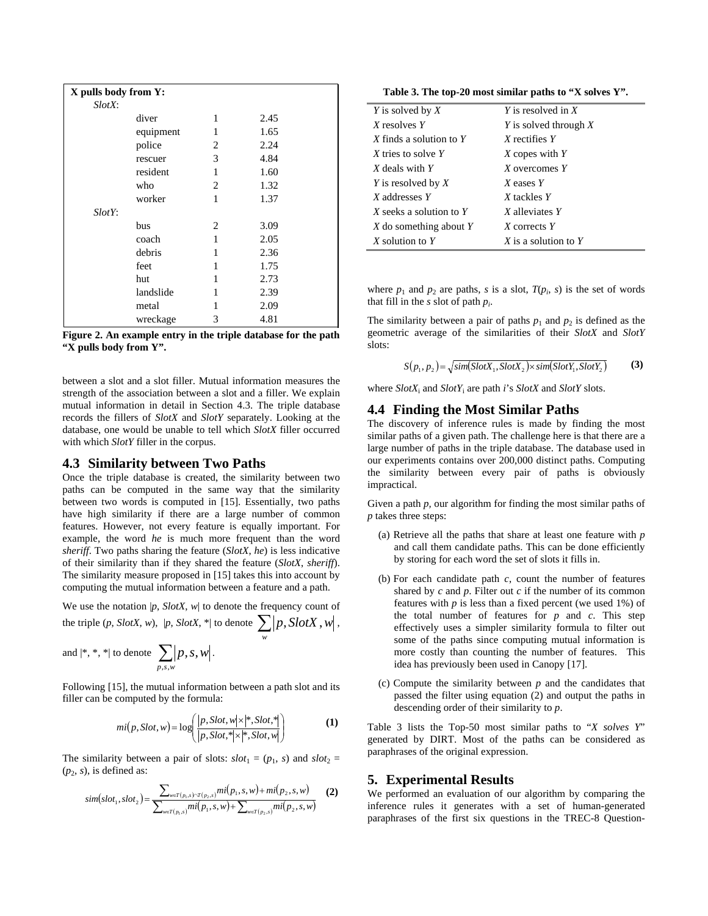| X pulls body from Y: |           |   |      |  |
|----------------------|-----------|---|------|--|
| SlotX:               |           |   |      |  |
|                      | diver     | 1 | 2.45 |  |
|                      | equipment | 1 | 1.65 |  |
|                      | police    | 2 | 2.24 |  |
|                      | rescuer   | 3 | 4.84 |  |
|                      | resident  | 1 | 1.60 |  |
|                      | who       | 2 | 1.32 |  |
|                      | worker    | 1 | 1.37 |  |
| SlotY:               |           |   |      |  |
|                      | bus       | 2 | 3.09 |  |
|                      | coach     | 1 | 2.05 |  |
|                      | debris    | 1 | 2.36 |  |
|                      | feet      | 1 | 1.75 |  |
|                      | hut       | 1 | 2.73 |  |
|                      | landslide | 1 | 2.39 |  |
|                      | metal     | 1 | 2.09 |  |
|                      | wreckage  | 3 | 4.81 |  |

**Figure 2. An example entry in the triple database for the path "X pulls body from Y".** 

between a slot and a slot filler. Mutual information measures the strength of the association between a slot and a filler. We explain mutual information in detail in Section 4.3. The triple database records the fillers of *SlotX* and *SlotY* separately. Looking at the database, one would be unable to tell which *SlotX* filler occurred with which *SlotY* filler in the corpus.

# **4.3 Similarity between Two Paths**

Once the triple database is created, the similarity between two paths can be computed in the same way that the similarity between two words is computed in [15]. Essentially, two paths have high similarity if there are a large number of common features. However, not every feature is equally important. For example, the word *he* is much more frequent than the word *sheriff*. Two paths sharing the feature (*SlotX*, *he*) is less indicative of their similarity than if they shared the feature (*SlotX*, *sheriff*). The similarity measure proposed in [15] takes this into account by computing the mutual information between a feature and a path.

We use the notation  $|p$ , *SlotX*,  $w|$  to denote the frequency count of the triple  $(p, \text{SlotX}, w)$ ,  $|p, \text{SlotX}, *|$  to denote  $\sum_{w} |p, \text{SlotX}, w|$ ,

and 
$$
|\ast, \ast, \ast|
$$
 to denote  $\sum_{p,s,w} |p,s,w|$ .

Following [15], the mutual information between a path slot and its filler can be computed by the formula:

$$
mi(p, Slot, w) = \log \left( \frac{|p, Slot, w| \times |*, Slot, *|}{|p, Slot, *| \times |*, Slot, w|} \right)
$$
 (1)

The similarity between a pair of slots:  $slot_1 = (p_1, s)$  and  $slot_2 =$  $(p_2, s)$ , is defined as:

$$
sim(slot_1, slot_2) = \frac{\sum_{w \in T(p_1, s) \cap T(p_2, s)} mi(p_1, s, w) + mi(p_2, s, w)}{\sum_{w \in T(p_1, s)} mi(p_1, s, w) + \sum_{w \in T(p_2, s)} mi(p_2, s, w)}
$$
 (2)

**Table 3. The top-20 most similar paths to "X solves Y".** 

| Y is solved by X            | Y is resolved in $X$    |
|-----------------------------|-------------------------|
| $X$ resolves $Y$            | Y is solved through $X$ |
| $X$ finds a solution to $Y$ | $X$ rectifies $Y$       |
| X tries to solve Y          | X copes with Y          |
| X deals with Y              | $X$ overcomes $Y$       |
| Y is resolved by $X$        | $X$ eases $Y$           |
| X addresses Y               | X tackles Y             |
| X seeks a solution to $Y$   | $X$ alleviates $Y$      |
| X do something about Y      | $X$ corrects $Y$        |
| X solution to $Y$           | X is a solution to $Y$  |

where  $p_1$  and  $p_2$  are paths, *s* is a slot,  $T(p_i, s)$  is the set of words that fill in the *s* slot of path *pi*.

The similarity between a pair of paths  $p_1$  and  $p_2$  is defined as the geometric average of the similarities of their *SlotX* and *SlotY*  slots:

$$
S(p_1, p_2) = \sqrt{\text{sim}(\text{SlotX}_1, \text{SlotX}_2) \times \text{sim}(\text{SlotY}_1, \text{SlotY}_2)} \tag{3}
$$

where *SlotX*i and *SlotY*i are path *i*'s *SlotX* and *SlotY* slots.

# **4.4 Finding the Most Similar Paths**

The discovery of inference rules is made by finding the most similar paths of a given path. The challenge here is that there are a large number of paths in the triple database. The database used in our experiments contains over 200,000 distinct paths. Computing the similarity between every pair of paths is obviously impractical.

Given a path *p,* our algorithm for finding the most similar paths of *p* takes three steps:

- (a) Retrieve all the paths that share at least one feature with *p* and call them candidate paths. This can be done efficiently by storing for each word the set of slots it fills in.
- (b) For each candidate path *c*, count the number of features shared by *c* and *p*. Filter out *c* if the number of its common features with *p* is less than a fixed percent (we used 1%) of the total number of features for  $p$  and  $c$ . This step effectively uses a simpler similarity formula to filter out some of the paths since computing mutual information is more costly than counting the number of features. This idea has previously been used in Canopy [17].
- (c) Compute the similarity between *p* and the candidates that passed the filter using equation (2) and output the paths in descending order of their similarity to *p*.

Table 3 lists the Top-50 most similar paths to "*X solves Y*" generated by DIRT. Most of the paths can be considered as paraphrases of the original expression.

## **5. Experimental Results**

We performed an evaluation of our algorithm by comparing the inference rules it generates with a set of human-generated paraphrases of the first six questions in the TREC-8 Question-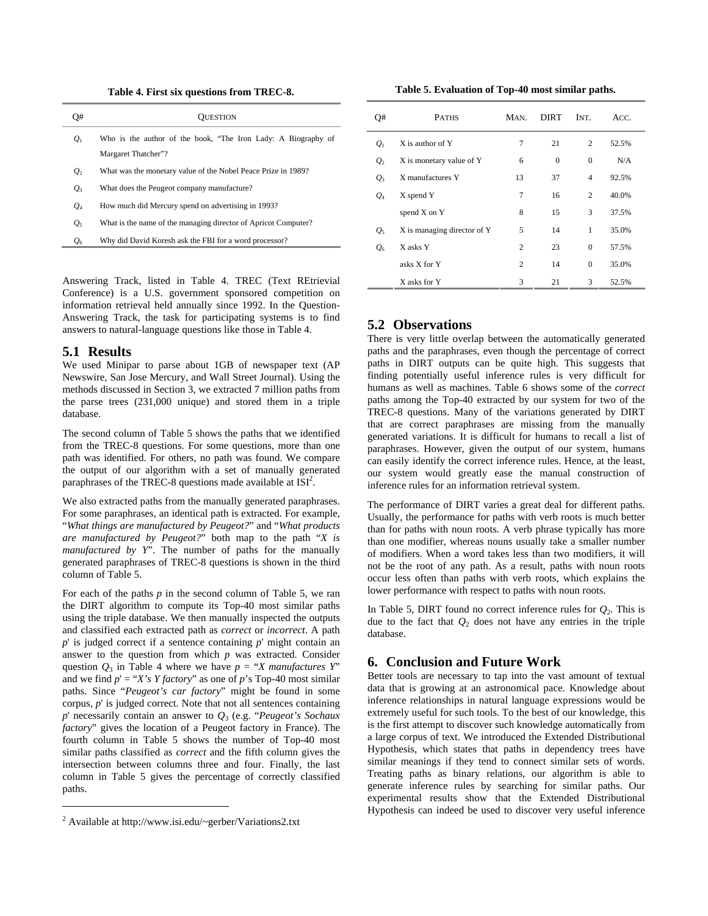**Table 4. First six questions from TREC-8.** 

| O#    | <b>OUESTION</b>                                                |
|-------|----------------------------------------------------------------|
| $Q_1$ | Who is the author of the book, "The Iron Lady: A Biography of  |
|       | Margaret Thatcher"?                                            |
| $Q_2$ | What was the monetary value of the Nobel Peace Prize in 1989?  |
| $Q_3$ | What does the Peugeot company manufacture?                     |
| $Q_4$ | How much did Mercury spend on advertising in 1993?             |
| $Q_5$ | What is the name of the managing director of Apricot Computer? |
| $Q_6$ | Why did David Koresh ask the FBI for a word processor?         |

Answering Track, listed in Table 4. TREC (Text REtrievial Conference) is a U.S. government sponsored competition on information retrieval held annually since 1992. In the Question-Answering Track, the task for participating systems is to find answers to natural-language questions like those in Table 4.

## **5.1 Results**

We used Minipar to parse about 1GB of newspaper text (AP Newswire, San Jose Mercury, and Wall Street Journal). Using the methods discussed in Section 3, we extracted 7 million paths from the parse trees (231,000 unique) and stored them in a triple database.

The second column of Table 5 shows the paths that we identified from the TREC-8 questions. For some questions, more than one path was identified. For others, no path was found. We compare the output of our algorithm with a set of manually generated paraphrases of the TREC-8 questions made available at  $ISI<sup>2</sup>$ .

We also extracted paths from the manually generated paraphrases. For some paraphrases, an identical path is extracted. For example, "*What things are manufactured by Peugeot?*" and "*What products are manufactured by Peugeot?*" both map to the path "*X is manufactured by Y*". The number of paths for the manually generated paraphrases of TREC-8 questions is shown in the third column of Table 5.

For each of the paths  $p$  in the second column of Table 5, we ran the DIRT algorithm to compute its Top-40 most similar paths using the triple database. We then manually inspected the outputs and classified each extracted path as *correct* or *incorrect*. A path *p*' is judged correct if a sentence containing *p*' might contain an answer to the question from which *p* was extracted. Consider question  $Q_3$  in Table 4 where we have  $p = "X$  manufactures Y" and we find  $p' = "X's Y factory"$  as one of p's Top-40 most similar paths. Since "*Peugeot's car factory*" might be found in some corpus, *p*' is judged correct. Note that not all sentences containing *p*' necessarily contain an answer to *Q*3 (e.g. "*Peugeot's Sochaux factory*" gives the location of a Peugeot factory in France). The fourth column in Table 5 shows the number of Top-40 most similar paths classified as *correct* and the fifth column gives the intersection between columns three and four. Finally, the last column in Table 5 gives the percentage of correctly classified paths.

 $\overline{a}$ 

**Table 5. Evaluation of Top-40 most similar paths.** 

| O#    | <b>PATHS</b>                | MAN.           | <b>DIRT</b> | INT.           | ACC.  |
|-------|-----------------------------|----------------|-------------|----------------|-------|
| $Q_1$ | X is author of Y            | 7              | 21          | 2              | 52.5% |
| $Q_2$ | X is monetary value of Y    | 6              | $\Omega$    | $\mathbf{0}$   | N/A   |
| $Q_3$ | X manufactures Y            | 13             | 37          | $\overline{4}$ | 92.5% |
| $Q_4$ | X spend Y                   | 7              | 16          | $\mathfrak{2}$ | 40.0% |
|       | spend X on Y                | 8              | 15          | 3              | 37.5% |
| $Q_5$ | X is managing director of Y | 5              | 14          | 1              | 35.0% |
| $Q_6$ | X asks Y                    | 2              | 23          | $\Omega$       | 57.5% |
|       | asks X for Y                | $\overline{2}$ | 14          | $\mathbf{0}$   | 35.0% |
|       | X asks for Y                | $\mathbf{3}$   | 21          | 3              | 52.5% |

# **5.2 Observations**

There is very little overlap between the automatically generated paths and the paraphrases, even though the percentage of correct paths in DIRT outputs can be quite high. This suggests that finding potentially useful inference rules is very difficult for humans as well as machines. Table 6 shows some of the *correct* paths among the Top-40 extracted by our system for two of the TREC-8 questions. Many of the variations generated by DIRT that are correct paraphrases are missing from the manually generated variations. It is difficult for humans to recall a list of paraphrases. However, given the output of our system, humans can easily identify the correct inference rules. Hence, at the least, our system would greatly ease the manual construction of inference rules for an information retrieval system.

The performance of DIRT varies a great deal for different paths. Usually, the performance for paths with verb roots is much better than for paths with noun roots. A verb phrase typically has more than one modifier, whereas nouns usually take a smaller number of modifiers. When a word takes less than two modifiers, it will not be the root of any path. As a result, paths with noun roots occur less often than paths with verb roots, which explains the lower performance with respect to paths with noun roots.

In Table 5, DIRT found no correct inference rules for  $Q_2$ . This is due to the fact that  $Q_2$  does not have any entries in the triple database.

## **6. Conclusion and Future Work**

Better tools are necessary to tap into the vast amount of textual data that is growing at an astronomical pace. Knowledge about inference relationships in natural language expressions would be extremely useful for such tools. To the best of our knowledge, this is the first attempt to discover such knowledge automatically from a large corpus of text. We introduced the Extended Distributional Hypothesis, which states that paths in dependency trees have similar meanings if they tend to connect similar sets of words. Treating paths as binary relations, our algorithm is able to generate inference rules by searching for similar paths. Our experimental results show that the Extended Distributional Hypothesis can indeed be used to discover very useful inference

<sup>&</sup>lt;sup>2</sup> Available at http://www.isi.edu/~gerber/Variations2.txt